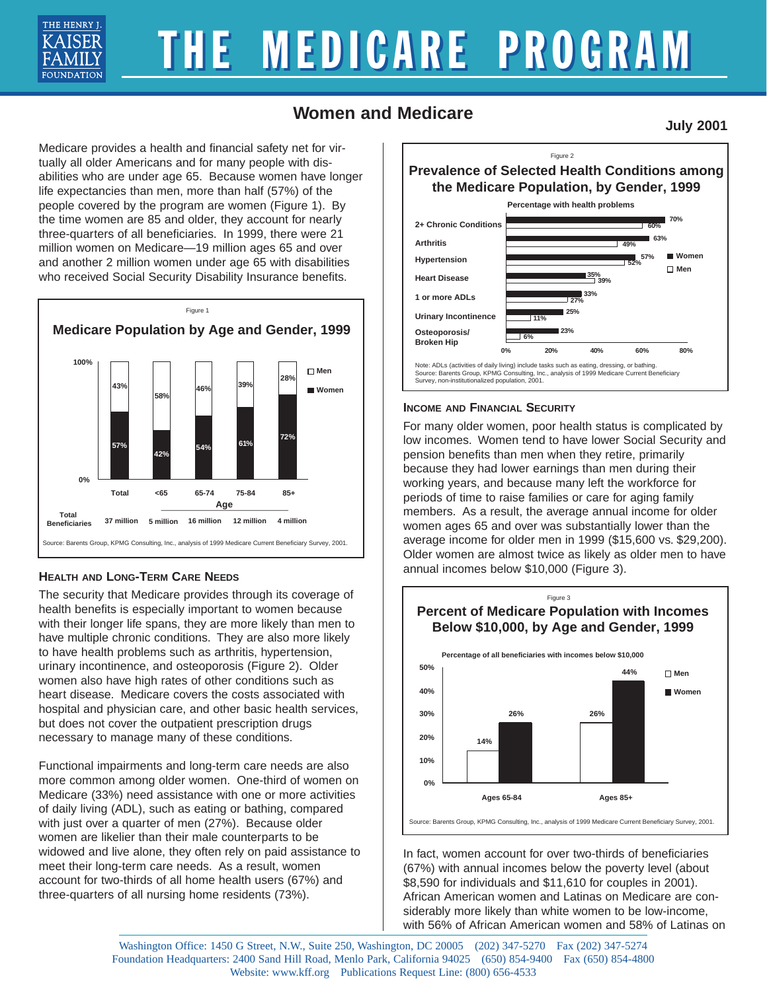

# THE MEDICARE PROGRAM

## **Women and Medicare**

**July 2001**

Medicare provides a health and financial safety net for virtually all older Americans and for many people with disabilities who are under age 65. Because women have longer life expectancies than men, more than half (57%) of the people covered by the program are women (Figure 1). By the time women are 85 and older, they account for nearly three-quarters of all beneficiaries. In 1999, there were 21 million women on Medicare—19 million ages 65 and over and another 2 million women under age 65 with disabilities who received Social Security Disability Insurance benefits.



### **HEALTH AND LONG-TERM CARE NEEDS**

The security that Medicare provides through its coverage of health benefits is especially important to women because with their longer life spans, they are more likely than men to have multiple chronic conditions. They are also more likely to have health problems such as arthritis, hypertension, urinary incontinence, and osteoporosis (Figure 2). Older women also have high rates of other conditions such as heart disease. Medicare covers the costs associated with hospital and physician care, and other basic health services, but does not cover the outpatient prescription drugs necessary to manage many of these conditions.

Functional impairments and long-term care needs are also more common among older women. One-third of women on Medicare (33%) need assistance with one or more activities of daily living (ADL), such as eating or bathing, compared with just over a quarter of men (27%). Because older women are likelier than their male counterparts to be widowed and live alone, they often rely on paid assistance to meet their long-term care needs. As a result, women account for two-thirds of all home health users (67%) and three-quarters of all nursing home residents (73%).



#### **INCOME AND FINANCIAL SECURITY**

For many older women, poor health status is complicated by low incomes. Women tend to have lower Social Security and pension benefits than men when they retire, primarily because they had lower earnings than men during their working years, and because many left the workforce for periods of time to raise families or care for aging family members. As a result, the average annual income for older women ages 65 and over was substantially lower than the average income for older men in 1999 (\$15,600 vs. \$29,200). Older women are almost twice as likely as older men to have annual incomes below \$10,000 (Figure 3).



In fact, women account for over two-thirds of beneficiaries (67%) with annual incomes below the poverty level (about \$8,590 for individuals and \$11,610 for couples in 2001). African American women and Latinas on Medicare are considerably more likely than white women to be low-income, with 56% of African American women and 58% of Latinas on

Washington Office: 1450 G Street, N.W., Suite 250, Washington, DC 20005 (202) 347-5270 Fax (202) 347-5274 Foundation Headquarters: 2400 Sand Hill Road, Menlo Park, California 94025 (650) 854-9400 Fax (650) 854-4800 Website: www.kff.org Publications Request Line: (800) 656-4533